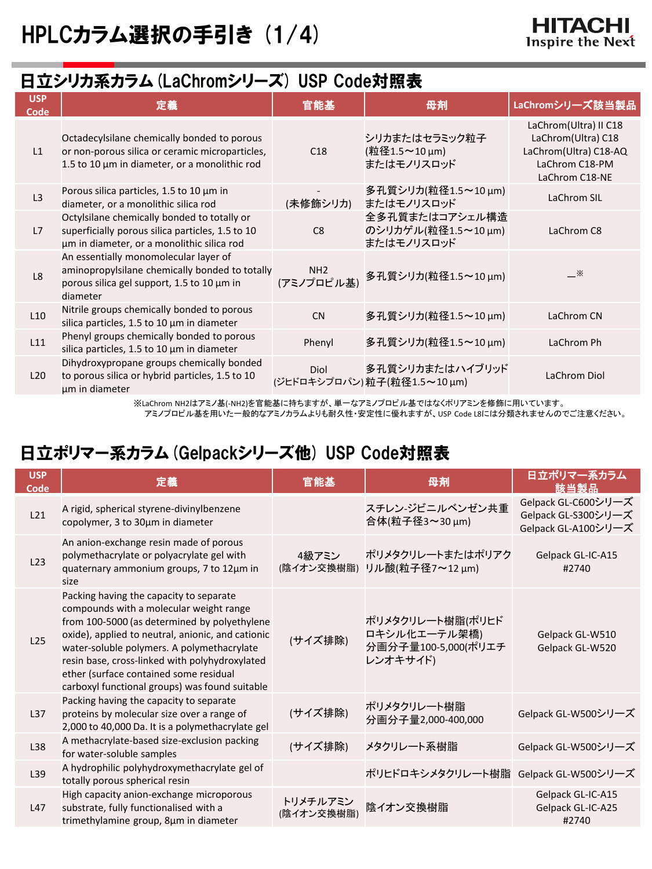## 日立シリカ系カラム(LaChromシリーズ) USP Code対照表

| <b>USP</b><br>Code | 定義                                                                                                                                                   | 官能基                           | 母剤                                                 | LaChromシリーズ該当製品                                                                                          |
|--------------------|------------------------------------------------------------------------------------------------------------------------------------------------------|-------------------------------|----------------------------------------------------|----------------------------------------------------------------------------------------------------------|
| L1                 | Octadecylsilane chemically bonded to porous<br>or non-porous silica or ceramic microparticles,<br>1.5 to 10 $\mu$ m in diameter, or a monolithic rod | C18                           | シリカまたはセラミック粒子<br>(粒径1.5~10 µm)<br>またはモノリスロッド       | LaChrom(Ultra) II C18<br>LaChrom(Ultra) C18<br>LaChrom(Ultra) C18-AQ<br>LaChrom C18-PM<br>LaChrom C18-NE |
| L3                 | Porous silica particles, 1.5 to 10 µm in<br>diameter, or a monolithic silica rod                                                                     | (未修飾シリカ)                      | 多孔質シリカ(粒径1.5~10 μm)<br>またはモノリスロッド                  | LaChrom SIL                                                                                              |
| L7                 | Octylsilane chemically bonded to totally or<br>superficially porous silica particles, 1.5 to 10<br>um in diameter, or a monolithic silica rod        | C8                            | 全多孔質またはコアシェル構造<br>のシリカゲル(粒径1.5~10μm)<br>またはモノリスロッド | LaChrom C8                                                                                               |
| L <sub>8</sub>     | An essentially monomolecular layer of<br>aminopropylsilane chemically bonded to totally<br>porous silica gel support, 1.5 to 10 µm in<br>diameter    | NH <sub>2</sub><br>(アミノプロピル基) | 多孔質シリカ(粒径1.5~10μm)                                 | $\mathbb{X}$                                                                                             |
| L10                | Nitrile groups chemically bonded to porous<br>silica particles, 1.5 to 10 µm in diameter                                                             | <b>CN</b>                     | 多孔質シリカ(粒径1.5~10 μm)                                | LaChrom CN                                                                                               |
| L11                | Phenyl groups chemically bonded to porous<br>silica particles, 1.5 to 10 $\mu$ m in diameter                                                         | Phenyl                        | 多孔質シリカ(粒径1.5~10 μm)                                | LaChrom Ph                                                                                               |
| L20                | Dihydroxypropane groups chemically bonded<br>to porous silica or hybrid particles, 1.5 to 10<br>um in diameter                                       | Diol                          | 多孔質シリカまたはハイブリッド<br>(ジヒドロキシプロパン)粒子(粒径1.5~10μm)      | LaChrom Diol                                                                                             |

※LaChrom NH2はアミノ基(-NH2)を官能基に持ちますが、単一なアミノプロピル基ではなくポリアミンを修飾に用いています。

アミノプロピル基を用いた一般的なアミノカラムよりも耐久性・安定性に優れますが、USP Code L8には分類されませんのでご注意ください。

# 日立ポリマー系カラム(Gelpackシリーズ他) USP Code対照表

| <b>USP</b><br>Code | 定義                                                                                                                                                                                                                                                                                                                                                                                  | 官能基                    | 母剤                                                                  | 日立ポリマー系カラム<br>該当製品                                                |
|--------------------|-------------------------------------------------------------------------------------------------------------------------------------------------------------------------------------------------------------------------------------------------------------------------------------------------------------------------------------------------------------------------------------|------------------------|---------------------------------------------------------------------|-------------------------------------------------------------------|
| L21                | A rigid, spherical styrene-divinylbenzene<br>copolymer, 3 to 30µm in diameter                                                                                                                                                                                                                                                                                                       |                        | スチレン-ジビニルベンゼン共重<br>合体(粒子径3~30 μm)                                   | Gelpack GL-C600シリーズ<br>Gelpack GL-S300シリーズ<br>Gelpack GL-A100シリーズ |
| L23                | An anion-exchange resin made of porous<br>polymethacrylate or polyacrylate gel with<br>quaternary ammonium groups, 7 to 12um in<br>size                                                                                                                                                                                                                                             | 4級アミン<br>(陰イオン交換樹脂)    | ポリメタクリレートまたはポリアク<br>リル酸(粒子径7~12 μm)                                 | Gelpack GL-IC-A15<br>#2740                                        |
| L25                | Packing having the capacity to separate<br>compounds with a molecular weight range<br>from 100-5000 (as determined by polyethylene<br>oxide), applied to neutral, anionic, and cationic<br>water-soluble polymers. A polymethacrylate<br>resin base, cross-linked with polyhydroxylated<br>ether (surface contained some residual<br>carboxyl functional groups) was found suitable | (サイズ排除)                | ポリメタクリレート樹脂(ポリヒド<br>ロキシル化エーテル架橋)<br>分画分子量100-5,000(ポリエチ<br>レンオキサイド) | Gelpack GL-W510<br>Gelpack GL-W520                                |
| L <sub>37</sub>    | Packing having the capacity to separate<br>proteins by molecular size over a range of<br>2,000 to 40,000 Da. It is a polymethacrylate gel                                                                                                                                                                                                                                           | (サイズ排除)                | ポリメタクリレート樹脂<br>分画分子量2,000-400,000                                   | Gelpack GL-W500シリーズ                                               |
| L38                | A methacrylate-based size-exclusion packing<br>for water-soluble samples                                                                                                                                                                                                                                                                                                            | (サイズ排除)                | メタクリレート系樹脂                                                          | Gelpack GL-W500シリーズ                                               |
| L <sub>39</sub>    | A hydrophilic polyhydroxymethacrylate gel of<br>totally porous spherical resin                                                                                                                                                                                                                                                                                                      |                        | ポリヒドロキシメタクリレート樹脂 Gelpack GL-W500シリーズ                                |                                                                   |
| L47                | High capacity anion-exchange microporous<br>substrate, fully functionalised with a<br>trimethylamine group, 8µm in diameter                                                                                                                                                                                                                                                         | トリメチルアミン<br>(陰イオン交換樹脂) | 陰イオン交換樹脂                                                            | Gelpack GL-IC-A15<br>Gelpack GL-IC-A25<br>#2740                   |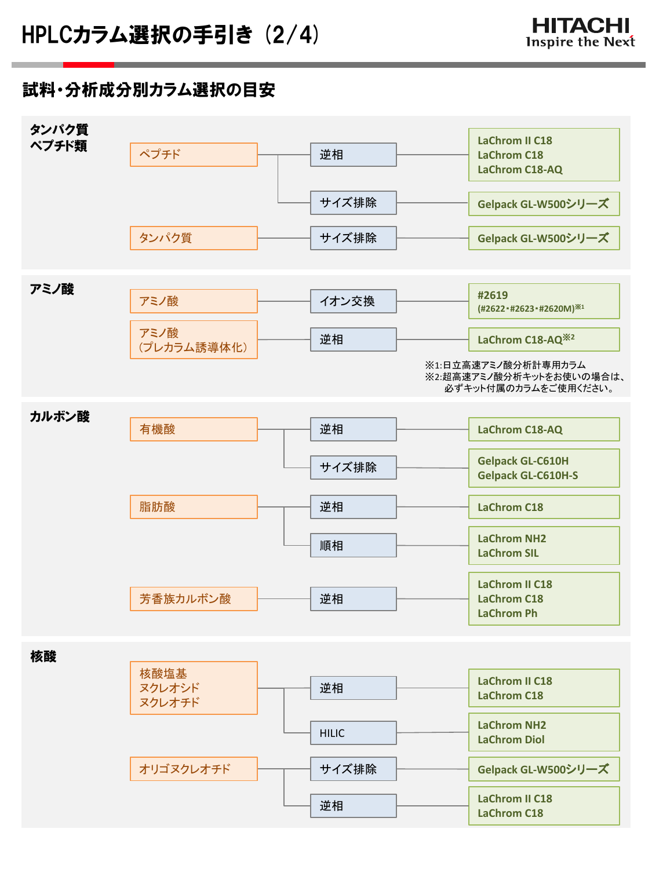### 試料・分析成分別カラム選択の目安

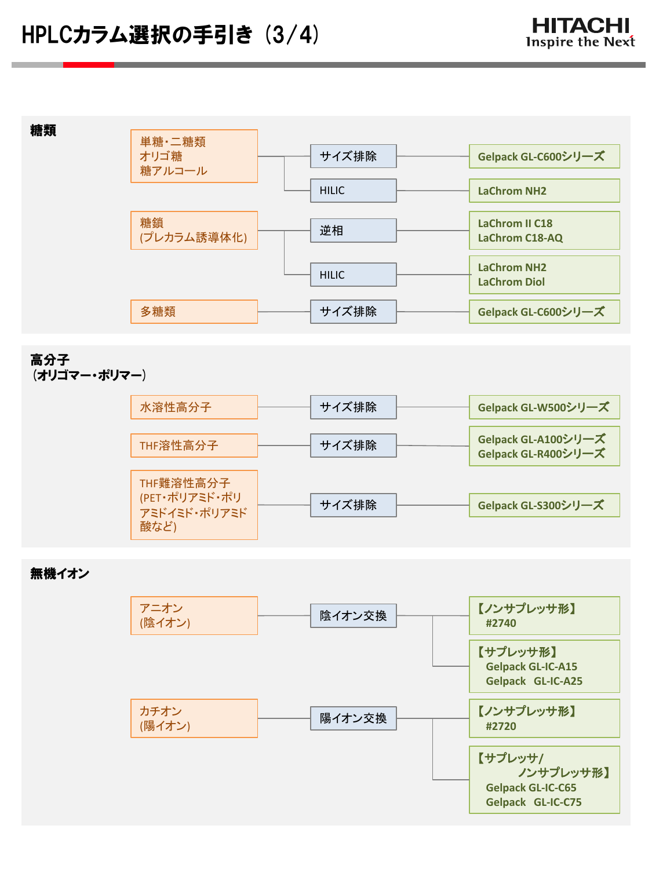

#### 高分子 (オリゴマー・ポリマー)



無機イオン